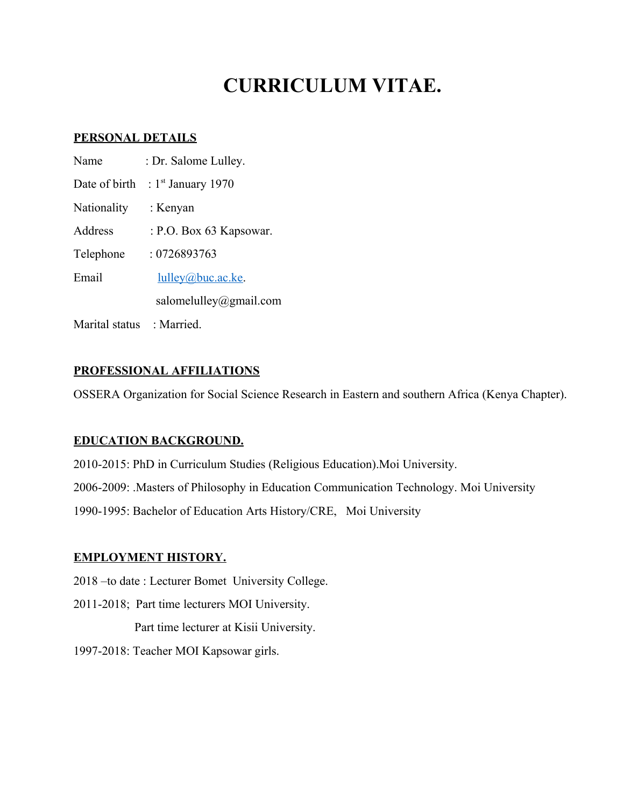# **CURRICULUM VITAE.**

# **PERSONAL DETAILS**

| Name           | : Dr. Salome Lulley.    |
|----------------|-------------------------|
| Date of birth  | : $1st$ January 1970    |
| Nationality    | : Kenyan                |
| Address        | : P.O. Box 63 Kapsowar. |
| Telephone      | : 0726893763            |
| Email          | $l$ ulley@buc.ac.ke.    |
|                | salomelulley@gmail.com  |
| Marital status | : Married.              |

# **PROFESSIONAL AFFILIATIONS**

OSSERA Organization for Social Science Research in Eastern and southern Africa (Kenya Chapter).

# **EDUCATION BACKGROUND.**

2010-2015: PhD in Curriculum Studies (Religious Education).Moi University. 2006-2009: .Masters of Philosophy in Education Communication Technology. Moi University 1990-1995: Bachelor of Education Arts History/CRE, Moi University

# **EMPLOYMENT HISTORY.**

2018 –to date : Lecturer Bomet University College.

2011-2018; Part time lecturers MOI University.

Part time lecturer at Kisii University.

1997-2018: Teacher MOI Kapsowar girls.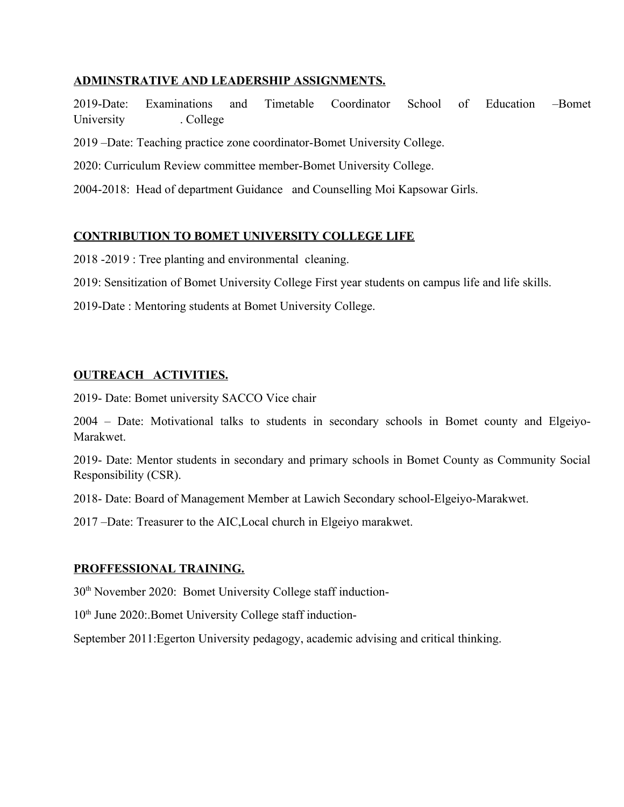# **ADMINSTRATIVE AND LEADERSHIP ASSIGNMENTS.**

2019-Date: Examinations and Timetable Coordinator School of Education –Bomet University . College

2019 –Date: Teaching practice zone coordinator-Bomet University College.

2020: Curriculum Review committee member-Bomet University College.

2004-2018: Head of department Guidance and Counselling Moi Kapsowar Girls.

#### **CONTRIBUTION TO BOMET UNIVERSITY COLLEGE LIFE**

2018 -2019 : Tree planting and environmental cleaning.

2019: Sensitization of Bomet University College First year students on campus life and life skills.

2019-Date : Mentoring students at Bomet University College.

#### **OUTREACH ACTIVITIES.**

2019- Date: Bomet university SACCO Vice chair

2004 – Date: Motivational talks to students in secondary schools in Bomet county and Elgeiyo-Marakwet.

2019- Date: Mentor students in secondary and primary schools in Bomet County as Community Social Responsibility (CSR).

2018- Date: Board of Management Member at Lawich Secondary school-Elgeiyo-Marakwet.

2017 –Date: Treasurer to the AIC,Local church in Elgeiyo marakwet.

#### **PROFFESSIONAL TRAINING.**

30<sup>th</sup> November 2020: Bomet University College staff induction-

10<sup>th</sup> June 2020: Bomet University College staff induction-

September 2011:Egerton University pedagogy, academic advising and critical thinking.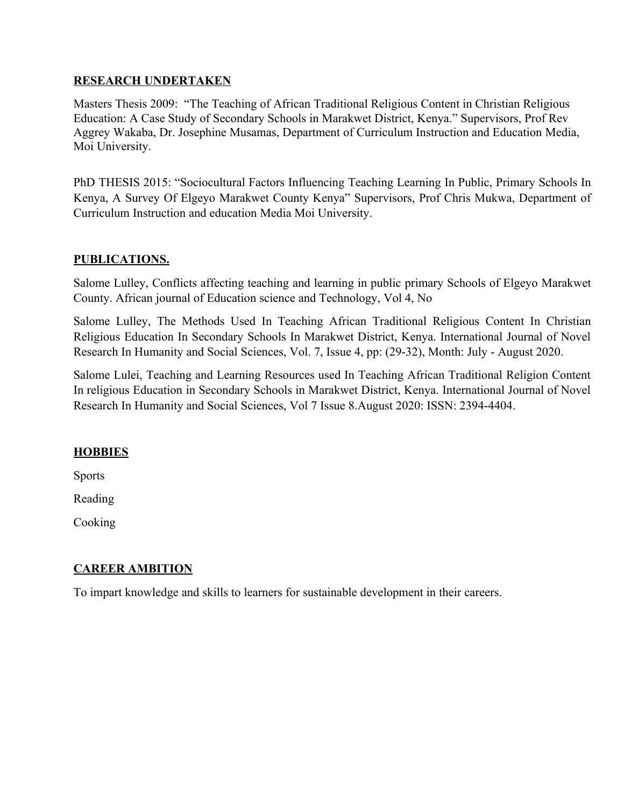#### **RESEARCH UNDERTAKEN**

Masters Thesis 2009: "The Teaching of African Traditional Religious Content in Christian Religious Education: A Case Study of Secondary Schools in Marakwet District, Kenya." Supervisors, Prof Rev Aggrey Wakaba, Dr. Josephine Musamas, Department of Curriculum Instruction and Education Media, Moi University.

PhD THESIS 2015: "Sociocultural Factors Influencing Teaching Learning In Public, Primary Schools In Kenya, A Survey Of Elgeyo Marakwet County Kenya" Supervisors, Prof Chris Mukwa, Department of Curriculum Instruction and education Media Moi University.

# **PUBLICATIONS.**

Salome Lulley, Conflicts affecting teaching and learning in public primary Schools of Elgeyo Marakwet County. African journal of Education science and Technology, Vol 4, No

Salome Lulley, The Methods Used In Teaching African Traditional Religious Content In Christian Religious Education In Secondary Schools In Marakwet District, Kenya. International Journal of Novel Research In Humanity and Social Sciences, Vol. 7, Issue 4, pp: (29-32), Month: July - August 2020.

Salome Lulei, Teaching and Learning Resources used In Teaching African Traditional Religion Content In religious Education in Secondary Schools in Marakwet District, Kenya. International Journal of Novel Research In Humanity and Social Sciences, Vol 7 Issue 8.August 2020: ISSN: 2394-4404.

# **HOBBIES**

Sports

Reading

Cooking

# **CAREER AMBITION**

To impart knowledge and skills to learners for sustainable development in their careers.